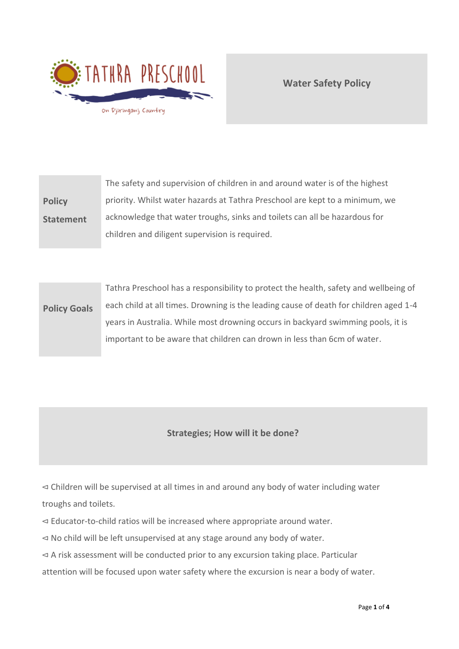

**Water Safety Policy**

**Policy Statement** The safety and supervision of children in and around water is of the highest priority. Whilst water hazards at Tathra Preschool are kept to a minimum, we acknowledge that water troughs, sinks and toilets can all be hazardous for children and diligent supervision is required.

**Policy Goals** Tathra Preschool has a responsibility to protect the health, safety and wellbeing of each child at all times. Drowning is the leading cause of death for children aged 1-4 years in Australia. While most drowning occurs in backyard swimming pools, it is important to be aware that children can drown in less than 6cm of water.

# **Strategies; How will it be done?**

⊲ Children will be supervised at all times in and around any body of water including water troughs and toilets.

⊲ Educator-to-child ratios will be increased where appropriate around water.

⊲ No child will be left unsupervised at any stage around any body of water.

⊲ A risk assessment will be conducted prior to any excursion taking place. Particular

attention will be focused upon water safety where the excursion is near a body of water.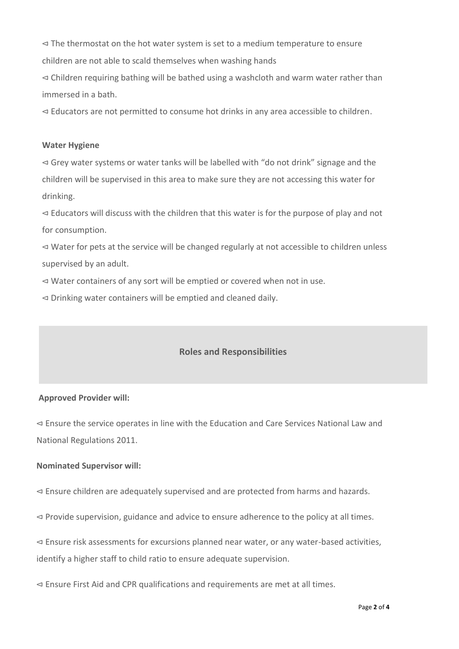⊲ The thermostat on the hot water system is set to a medium temperature to ensure children are not able to scald themselves when washing hands

⊲ Children requiring bathing will be bathed using a washcloth and warm water rather than immersed in a bath.

⊲ Educators are not permitted to consume hot drinks in any area accessible to children.

#### **Water Hygiene**

⊲ Grey water systems or water tanks will be labelled with "do not drink" signage and the children will be supervised in this area to make sure they are not accessing this water for drinking.

⊲ Educators will discuss with the children that this water is for the purpose of play and not for consumption.

⊲ Water for pets at the service will be changed regularly at not accessible to children unless supervised by an adult.

⊲ Water containers of any sort will be emptied or covered when not in use.

⊲ Drinking water containers will be emptied and cleaned daily.

# **Roles and Responsibilities**

### **Approved Provider will:**

⊲ Ensure the service operates in line with the Education and Care Services National Law and National Regulations 2011.

### **Nominated Supervisor will:**

⊲ Ensure children are adequately supervised and are protected from harms and hazards.

⊲ Provide supervision, guidance and advice to ensure adherence to the policy at all times.

⊲ Ensure risk assessments for excursions planned near water, or any water-based activities, identify a higher staff to child ratio to ensure adequate supervision.

⊲ Ensure First Aid and CPR qualifications and requirements are met at all times.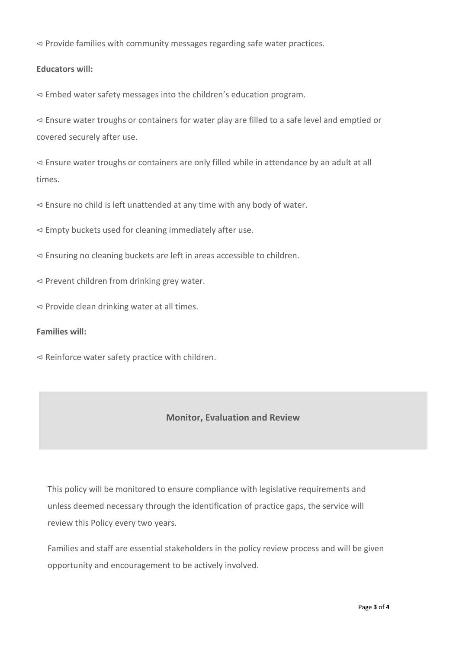⊲ Provide families with community messages regarding safe water practices.

## **Educators will:**

⊲ Embed water safety messages into the children's education program.

⊲ Ensure water troughs or containers for water play are filled to a safe level and emptied or covered securely after use.

⊲ Ensure water troughs or containers are only filled while in attendance by an adult at all times.

⊲ Ensure no child is left unattended at any time with any body of water.

⊲ Empty buckets used for cleaning immediately after use.

⊲ Ensuring no cleaning buckets are left in areas accessible to children.

⊲ Prevent children from drinking grey water.

⊲ Provide clean drinking water at all times.

### **Families will:**

⊲ Reinforce water safety practice with children.

## **Monitor, Evaluation and Review**

This policy will be monitored to ensure compliance with legislative requirements and unless deemed necessary through the identification of practice gaps, the service will review this Policy every two years.

Families and staff are essential stakeholders in the policy review process and will be given opportunity and encouragement to be actively involved.